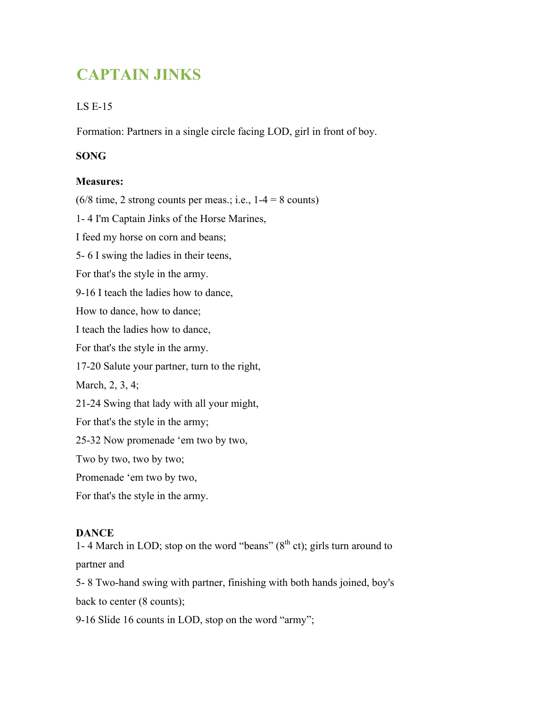# **CAPTAIN JINKS**

## LS E-15

Formation: Partners in a single circle facing LOD, girl in front of boy.

### **SONG**

#### **Measures:**

 $(6/8 \text{ time}, 2 \text{ strong counts per meas.}; i.e., 1-4 = 8 \text{ counts})$ 

1- 4 I'm Captain Jinks of the Horse Marines,

I feed my horse on corn and beans;

5- 6 I swing the ladies in their teens,

For that's the style in the army.

9-16 I teach the ladies how to dance,

How to dance, how to dance;

I teach the ladies how to dance,

For that's the style in the army.

17-20 Salute your partner, turn to the right,

March, 2, 3, 4;

21-24 Swing that lady with all your might,

For that's the style in the army;

25-32 Now promenade 'em two by two,

Two by two, two by two;

Promenade 'em two by two,

For that's the style in the army.

#### **DANCE**

1-4 March in LOD; stop on the word "beans"  $(8<sup>th</sup> ct)$ ; girls turn around to partner and

5- 8 Two-hand swing with partner, finishing with both hands joined, boy's back to center (8 counts);

9-16 Slide 16 counts in LOD, stop on the word "army";